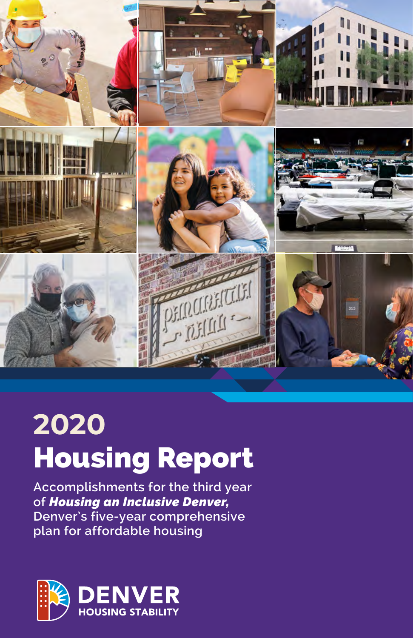

# **2020** Housing Report

**Accomplishments for the third year of** *Housing an Inclusive Denver,*  **Denver's five-year comprehensive plan for affordable housing** 

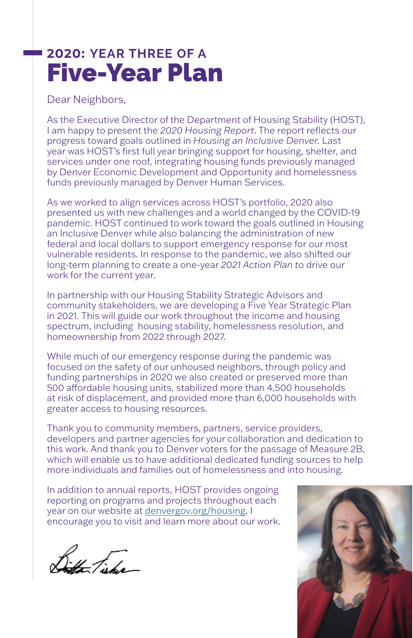# **2020: YEAR THREE OF A** Five-Year Plan

Dear Neighbors,

As the Executive Director of the Department of Housing Stability (HOST), I am happy to present the *2020 Housing Report*. The report reflects our progress toward goals outlined in *Housing an Inclusive Denver.* Last year was HOST's first full year bringing support for housing, shelter, and services under one roof, integrating housing funds previously managed by Denver Economic Development and Opportunity and homelessness funds previously managed by Denver Human Services.

As we worked to align services across HOST's portfolio, 2020 also presented us with new challenges and a world changed by the COVID-19 pandemic. HOST continued to work toward the goals outlined in Housing an Inclusive Denver while also balancing the administration of new federal and local dollars to support emergency response for our most vulnerable residents. In response to the pandemic, we also shifted our long-term planning to create a one-year *2021 Action Plan t*o drive our work for the current year.

In partnership with our Housing Stability Strategic Advisors and community stakeholders, we are developing a Five Year Strategic Plan in 2021. This will guide our work throughout the income and housing spectrum, including housing stability, homelessness resolution, and homeownership from 2022 through 2027.

While much of our emergency response during the pandemic was focused on the safety of our unhoused neighbors, through policy and funding partnerships in 2020 we also created or preserved more than 500 affordable housing units, stabilized more than 4,500 households at risk of displacement, and provided more than 6,000 households with greater access to housing resources.

Thank you to community members, partners, service providers, developers and partner agencies for your collaboration and dedication to this work. And thank you to Denver voters for the passage of Measure 2B, which will enable us to have additional dedicated funding sources to help more individuals and families out of homelessness and into housing.

In addition to annual reports, HOST provides ongoing reporting on programs and projects throughout each year on our website at [denvergov.org/housing.](http://www.denvergov.org/housing) I encourage you to visit and learn more about our work.

Bith Fisher

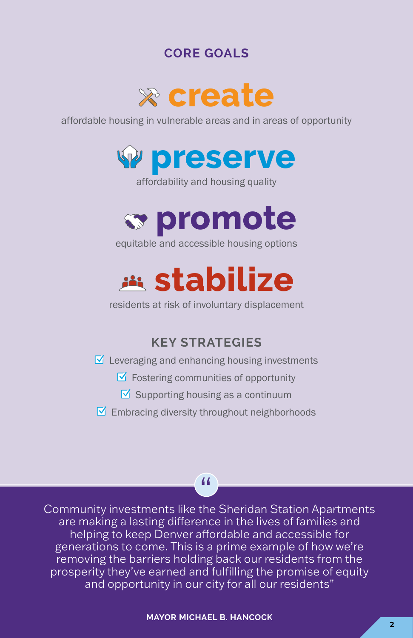# **CORE GOALS**



affordable housing in vulnerable areas and in areas of opportunity



affordability and housing quality



equitable and accessible housing options



residents at risk of involuntary displacement

# **KEY STRATEGIES**

#### $\triangledown$  Leveraging and enhancing housing investments

- $\triangledown$  Fostering communities of opportunity
- $\boxtimes$  Supporting housing as a continuum
- $\triangleright$  Embracing diversity throughout neighborhoods

### "

Community investments like the Sheridan Station Apartments are making a lasting difference in the lives of families and helping to keep Denver affordable and accessible for generations to come. This is a prime example of how we're removing the barriers holding back our residents from the prosperity they've earned and fulfilling the promise of equity and opportunity in our city for all our residents"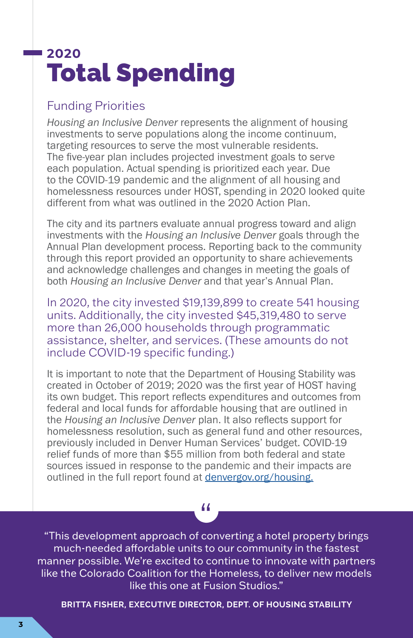# **2020** Total Spending

### Funding Priorities

*Housing an Inclusive Denver* represents the alignment of housing investments to serve populations along the income continuum, targeting resources to serve the most vulnerable residents. The five-year plan includes projected investment goals to serve each population. Actual spending is prioritized each year. Due to the COVID-19 pandemic and the alignment of all housing and homelessness resources under HOST, spending in 2020 looked quite different from what was outlined in the 2020 Action Plan.

The city and its partners evaluate annual progress toward and align investments with the *Housing an Inclusive Denver* goals through the Annual Plan development process. Reporting back to the community through this report provided an opportunity to share achievements and acknowledge challenges and changes in meeting the goals of both *Housing an Inclusive Denver* and that year's Annual Plan.

In 2020, the city invested \$19,139,899 to create 541 housing units. Additionally, the city invested \$45,319,480 to serve more than 26,000 households through programmatic assistance, shelter, and services. (These amounts do not include COVID-19 specific funding.)

It is important to note that the Department of Housing Stability was created in October of 2019; 2020 was the first year of HOST having its own budget. This report reflects expenditures and outcomes from federal and local funds for affordable housing that are outlined in the *Housing an Inclusive Denver* plan. It also reflects support for homelessness resolution, such as general fund and other resources, previously included in Denver Human Services' budget. COVID-19 relief funds of more than \$55 million from both federal and state sources issued in response to the pandemic and their impacts are outlined in the full report found at [denvergov.org/housing.](http://www.denvergov.org/housing)

"This development approach of converting a hotel property brings much-needed affordable units to our community in the fastest manner possible. We're excited to continue to innovate with partners like the Colorado Coalition for the Homeless, to deliver new models like this one at Fusion Studios."

"

**BRITTA FISHER, EXECUTIVE DIRECTOR, DEPT. OF HOUSING STABILITY**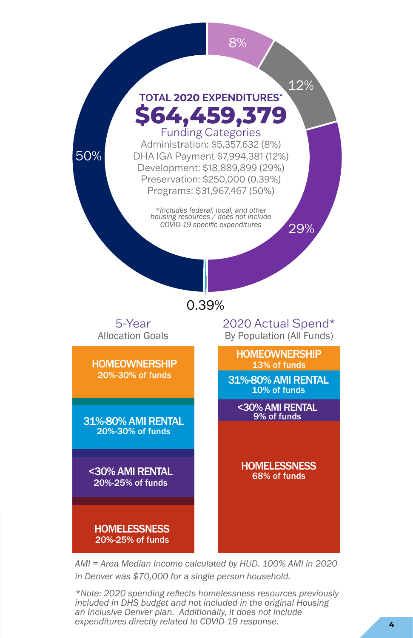

*AMI = Area Median Income calculated by HUD. 100% AMI in 2020 in Denver was \$70,000 for a single person household.*

*\*Note: 2020 spending reflects homelessness resources previously included in DHS budget and not included in the original Housing an Inclusive Denver plan. Additionally, it does not include expenditures directly related to COVID-19 response.*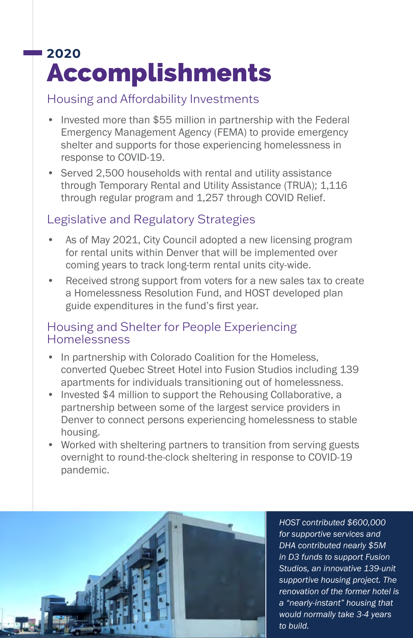# **2020** Accomplishments

### Housing and Affordability Investments

- Invested more than \$55 million in partnership with the Federal Emergency Management Agency (FEMA) to provide emergency shelter and supports for those experiencing homelessness in response to COVID-19.
- Served 2,500 households with rental and utility assistance through Temporary Rental and Utility Assistance (TRUA); 1,116 through regular program and 1,257 through COVID Relief.

### Legislative and Regulatory Strategies

- As of May 2021, City Council adopted a new licensing program for rental units within Denver that will be implemented over coming years to track long-term rental units city-wide.
- Received strong support from voters for a new sales tax to create a Homelessness Resolution Fund, and HOST developed plan guide expenditures in the fund's first year.

### Housing and Shelter for People Experiencing Homelessness

- In partnership with Colorado Coalition for the Homeless, converted Quebec Street Hotel into Fusion Studios including 139 apartments for individuals transitioning out of homelessness.
- Invested \$4 million to support the Rehousing Collaborative, a partnership between some of the largest service providers in Denver to connect persons experiencing homelessness to stable housing.
- Worked with sheltering partners to transition from serving guests overnight to round-the-clock sheltering in response to COVID-19 pandemic.



*HOST contributed \$600,000 for supportive services and DHA contributed nearly \$5M in D3 funds to support Fusion Studios, an innovative 139-unit supportive housing project. The renovation of the former hotel is a "nearly-instant" housing that would normally take 3-4 years*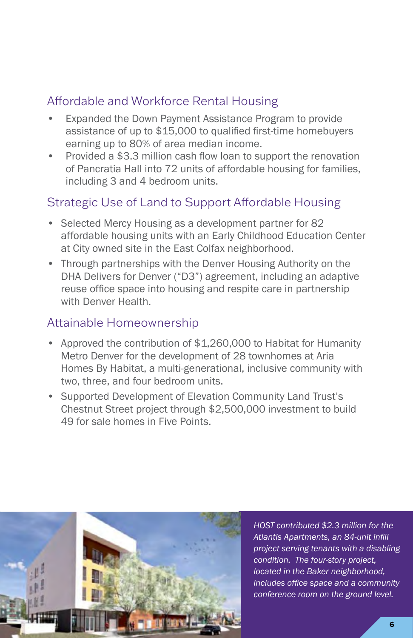# Affordable and Workforce Rental Housing

- Expanded the Down Payment Assistance Program to provide assistance of up to \$15,000 to qualified first-time homebuyers earning up to 80% of area median income.
- Provided a \$3.3 million cash flow loan to support the renovation of Pancratia Hall into 72 units of affordable housing for families, including 3 and 4 bedroom units.

# Strategic Use of Land to Support Affordable Housing

- Selected Mercy Housing as a development partner for 82 affordable housing units with an Early Childhood Education Center at City owned site in the East Colfax neighborhood.
- Through partnerships with the Denver Housing Authority on the DHA Delivers for Denver ("D3") agreement, including an adaptive reuse office space into housing and respite care in partnership with Denver Health.

### Attainable Homeownership

- Approved the contribution of \$1,260,000 to Habitat for Humanity Metro Denver for the development of 28 townhomes at Aria Homes By Habitat, a multi-generational, inclusive community with two, three, and four bedroom units.
- Supported Development of Elevation Community Land Trust's Chestnut Street project through \$2,500,000 investment to build 49 for sale homes in Five Points.



*HOST contributed \$2.3 million for the Atlantis Apartments, an 84-unit infill project serving tenants with a disabling condition. The four-story project, located in the Baker neighborhood, includes office space and a community conference room on the ground level.*